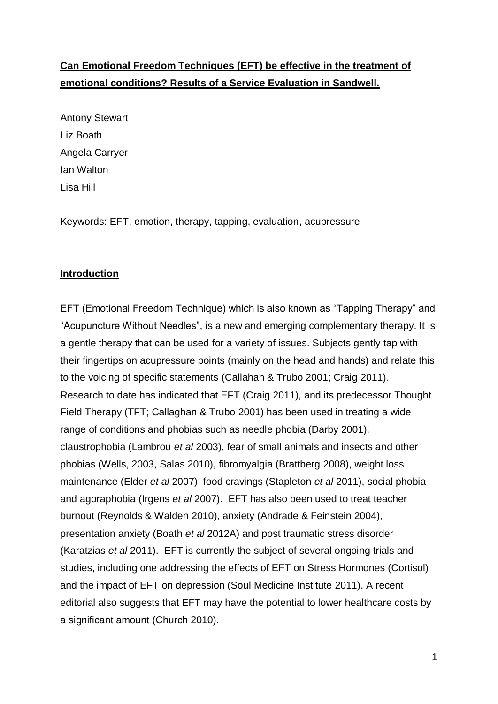# **Can Emotional Freedom Techniques (EFT) be effective in the treatment of emotional conditions? Results of a Service Evaluation in Sandwell.**

Antony Stewart Liz Boath Angela Carryer Ian Walton Lisa Hill

Keywords: EFT, emotion, therapy, tapping, evaluation, acupressure

### **Introduction**

EFT (Emotional Freedom Technique) which is also known as "Tapping Therapy" and "Acupuncture Without Needles", is a new and emerging complementary therapy. It is a gentle therapy that can be used for a variety of issues. Subjects gently tap with their fingertips on acupressure points (mainly on the head and hands) and relate this to the voicing of specific statements (Callahan & Trubo 2001; Craig 2011). Research to date has indicated that EFT (Craig 2011), and its predecessor Thought Field Therapy (TFT; Callaghan & Trubo 2001) has been used in treating a wide range of conditions and phobias such as needle phobia (Darby 2001), claustrophobia (Lambrou *et al* 2003), fear of small animals and insects and other phobias (Wells, 2003, Salas 2010), fibromyalgia (Brattberg 2008), weight loss maintenance (Elder *et al* 2007), food cravings (Stapleton *et al* 2011), social phobia and agoraphobia (Irgens *et al* 2007). EFT has also been used to treat teacher burnout (Reynolds & Walden 2010), anxiety (Andrade & Feinstein 2004), presentation anxiety (Boath *et al* 2012A) and post traumatic stress disorder (Karatzias *et al* 2011). EFT is currently the subject of several ongoing trials and studies, including one addressing [the effects of EFT on Stress Hormones \(Cortisol\)](file:///C:/Documents%20and%20Settings/fi1/Local%20Settings/Temporary%20Internet%20Files/Content.Outlook/13NS2257/he%20effects%20of%20psychotherapy%20and%20EFT%20on%20Stress%20Hormones%20(Cortisol)) and the impact of EFT on depression (Soul Medicine Institute 2011). A recent editorial also suggests that EFT may have the potential to lower healthcare costs by a significant amount (Church 2010).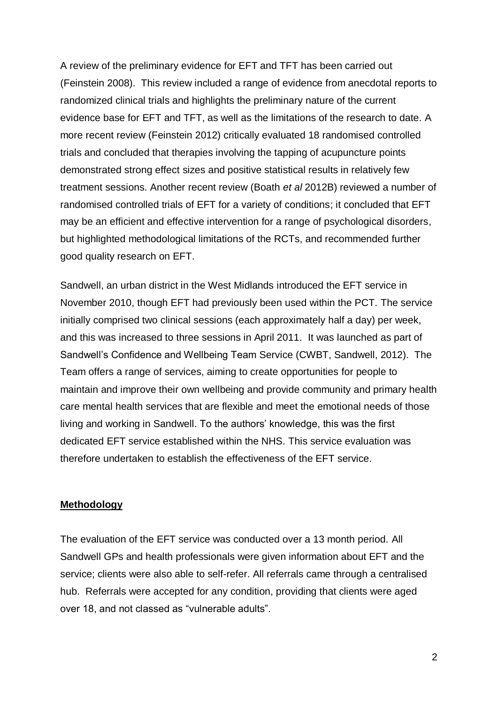A review of the preliminary evidence for EFT and TFT has been carried out (Feinstein 2008). This review included a range of evidence from anecdotal reports to randomized clinical trials and highlights the preliminary nature of the current evidence base for EFT and TFT, as well as the limitations of the research to date. A more recent review (Feinstein 2012) critically evaluated 18 randomised controlled trials and concluded that therapies involving the tapping of acupuncture points demonstrated strong effect sizes and positive statistical results in relatively few treatment sessions. Another recent review (Boath *et al* 2012B) reviewed a number of randomised controlled trials of EFT for a variety of conditions; it concluded that EFT may be an efficient and effective intervention for a range of psychological disorders, but highlighted methodological limitations of the RCTs, and recommended further good quality research on EFT.

Sandwell, an urban district in the West Midlands introduced the EFT service in November 2010, though EFT had previously been used within the PCT. The service initially comprised two clinical sessions (each approximately half a day) per week, and this was increased to three sessions in April 2011. It was launched as part of Sandwell's Confidence and Wellbeing Team Service (CWBT, Sandwell, 2012). The Team offers a range of services, aiming to create opportunities for people to maintain and improve their own wellbeing and provide community and primary health care mental health services that are flexible and meet the emotional needs of those living and working in Sandwell. To the authors' knowledge, this was the first dedicated EFT service established within the NHS. This service evaluation was therefore undertaken to establish the effectiveness of the EFT service.

#### **Methodology**

The evaluation of the EFT service was conducted over a 13 month period. All Sandwell GPs and health professionals were given information about EFT and the service; clients were also able to self-refer. All referrals came through a centralised hub. Referrals were accepted for any condition, providing that clients were aged over 18, and not classed as "vulnerable adults".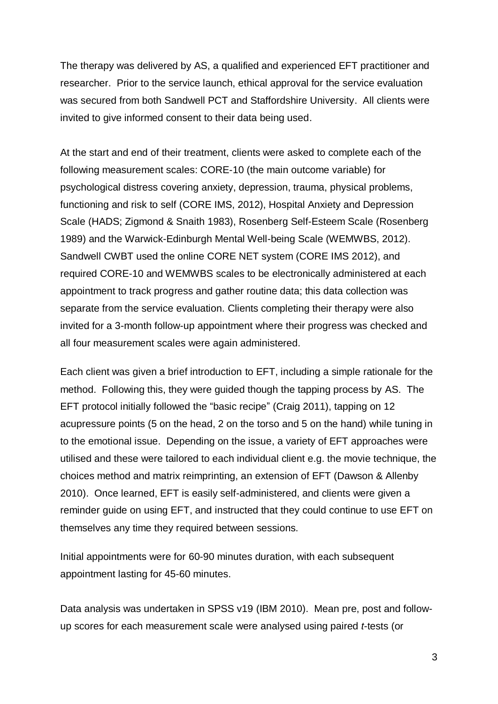The therapy was delivered by AS, a qualified and experienced EFT practitioner and researcher. Prior to the service launch, ethical approval for the service evaluation was secured from both Sandwell PCT and Staffordshire University. All clients were invited to give informed consent to their data being used.

At the start and end of their treatment, clients were asked to complete each of the following measurement scales: CORE-10 (the main outcome variable) for psychological distress covering anxiety, depression, trauma, physical problems, functioning and risk to self (CORE IMS, 2012), Hospital Anxiety and Depression Scale (HADS; Zigmond & Snaith 1983), Rosenberg Self-Esteem Scale (Rosenberg 1989) and the Warwick-Edinburgh Mental Well-being Scale (WEMWBS, 2012). Sandwell CWBT used the online CORE NET system (CORE IMS 2012), and required CORE-10 and WEMWBS scales to be electronically administered at each appointment to track progress and gather routine data; this data collection was separate from the service evaluation. Clients completing their therapy were also invited for a 3-month follow-up appointment where their progress was checked and all four measurement scales were again administered.

Each client was given a brief introduction to EFT, including a simple rationale for the method. Following this, they were guided though the tapping process by AS. The EFT protocol initially followed the "basic recipe" (Craig 2011), tapping on 12 acupressure points (5 on the head, 2 on the torso and 5 on the hand) while tuning in to the emotional issue. Depending on the issue, a variety of EFT approaches were utilised and these were tailored to each individual client e.g. the movie technique, the choices method and matrix reimprinting, an extension of EFT (Dawson & Allenby 2010). Once learned, EFT is easily self-administered, and clients were given a reminder guide on using EFT, and instructed that they could continue to use EFT on themselves any time they required between sessions.

Initial appointments were for 60-90 minutes duration, with each subsequent appointment lasting for 45-60 minutes.

Data analysis was undertaken in SPSS v19 (IBM 2010). Mean pre, post and followup scores for each measurement scale were analysed using paired *t*-tests (or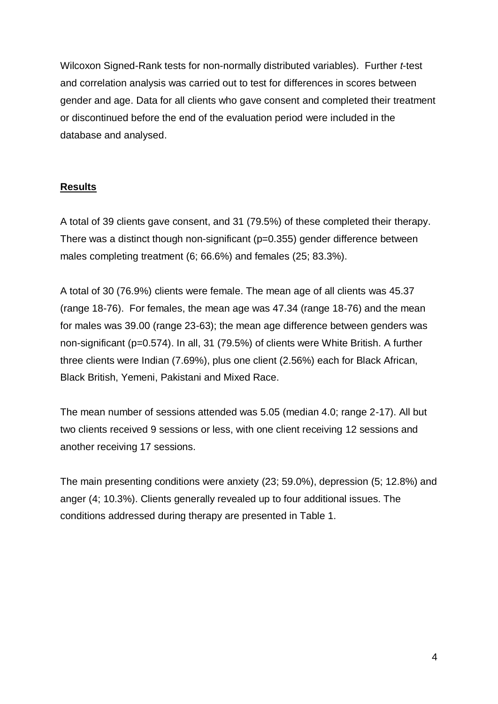Wilcoxon Signed-Rank tests for non-normally distributed variables). Further *t*-test and correlation analysis was carried out to test for differences in scores between gender and age. Data for all clients who gave consent and completed their treatment or discontinued before the end of the evaluation period were included in the database and analysed.

## **Results**

A total of 39 clients gave consent, and 31 (79.5%) of these completed their therapy. There was a distinct though non-significant (p=0.355) gender difference between males completing treatment (6; 66.6%) and females (25; 83.3%).

A total of 30 (76.9%) clients were female. The mean age of all clients was 45.37 (range 18-76). For females, the mean age was 47.34 (range 18-76) and the mean for males was 39.00 (range 23-63); the mean age difference between genders was non-significant (p=0.574). In all, 31 (79.5%) of clients were White British. A further three clients were Indian (7.69%), plus one client (2.56%) each for Black African, Black British, Yemeni, Pakistani and Mixed Race.

The mean number of sessions attended was 5.05 (median 4.0; range 2-17). All but two clients received 9 sessions or less, with one client receiving 12 sessions and another receiving 17 sessions.

The main presenting conditions were anxiety (23; 59.0%), depression (5; 12.8%) and anger (4; 10.3%). Clients generally revealed up to four additional issues. The conditions addressed during therapy are presented in Table 1.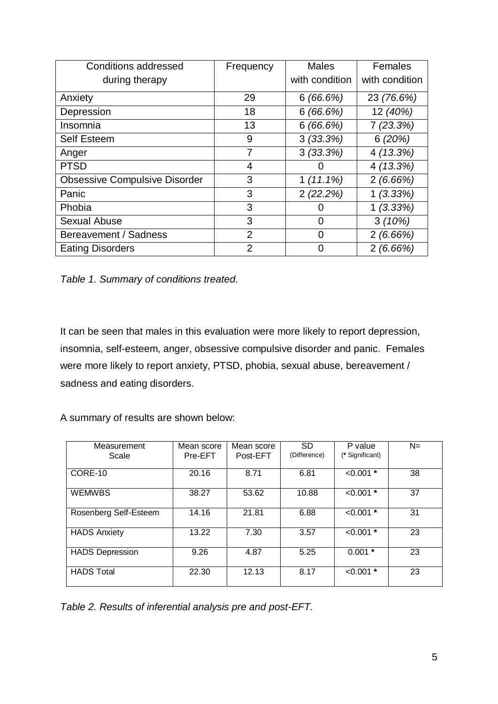| <b>Conditions addressed</b>          | Frequency      | <b>Males</b>   | Females        |
|--------------------------------------|----------------|----------------|----------------|
| during therapy                       |                | with condition | with condition |
| Anxiety                              | 29             | 6(66.6%)       | 23 (76.6%)     |
| Depression                           | 18             | 6(66.6%)       | 12 (40%)       |
| Insomnia                             | 13             | 6(66.6%)       | 7(23.3%)       |
| <b>Self Esteem</b>                   | 9              | 3(33.3%)       | 6(20%)         |
| Anger                                | 7              | 3(33.3%)       | 4(13.3%)       |
| <b>PTSD</b>                          | 4              |                | 4(13.3%)       |
| <b>Obsessive Compulsive Disorder</b> | 3              | $1(11.1\%)$    | 2(6.66%)       |
| Panic                                | 3              | 2(22.2%)       | 1(3.33%)       |
| Phobia                               | 3              |                | 1(3.33%)       |
| <b>Sexual Abuse</b>                  | 3              | 0              | 3(10%)         |
| Bereavement / Sadness                | 2              | 0              | 2(6.66%)       |
| <b>Eating Disorders</b>              | $\overline{2}$ |                | 2(6.66%)       |

*Table 1. Summary of conditions treated.*

It can be seen that males in this evaluation were more likely to report depression, insomnia, self-esteem, anger, obsessive compulsive disorder and panic. Females were more likely to report anxiety, PTSD, phobia, sexual abuse, bereavement / sadness and eating disorders.

A summary of results are shown below:

| Measurement<br>Scale   | Mean score<br>Pre-EFT | Mean score<br>Post-EFT | <b>SD</b><br>(Difference) | P value<br>(* Significant) | $N =$ |
|------------------------|-----------------------|------------------------|---------------------------|----------------------------|-------|
| CORE-10                | 20.16                 | 8.71                   | 6.81                      | $< 0.001$ *                | 38    |
| <b>WEMWBS</b>          | 38.27                 | 53.62                  | 10.88                     | $< 0.001$ *                | 37    |
| Rosenberg Self-Esteem  | 14.16                 | 21.81                  | 6.88                      | $< 0.001$ *                | 31    |
| <b>HADS Anxiety</b>    | 13.22                 | 7.30                   | 3.57                      | $< 0.001$ *                | 23    |
| <b>HADS Depression</b> | 9.26                  | 4.87                   | 5.25                      | $0.001*$                   | 23    |
| <b>HADS Total</b>      | 22.30                 | 12.13                  | 8.17                      | $< 0.001$ *                | 23    |

*Table 2. Results of inferential analysis pre and post-EFT.*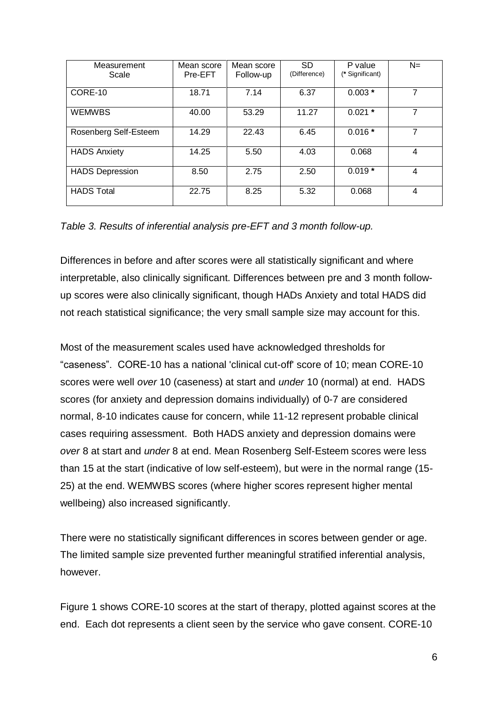| Measurement<br>Scale   | Mean score<br>Pre-EFT | Mean score<br>Follow-up | <b>SD</b><br>(Difference) | P value<br>(* Significant) | $N=$ |
|------------------------|-----------------------|-------------------------|---------------------------|----------------------------|------|
| CORE-10                | 18.71                 | 7.14                    | 6.37                      | $0.003*$                   | 7    |
| <b>WEMWBS</b>          | 40.00                 | 53.29                   | 11.27                     | $0.021*$                   | 7    |
| Rosenberg Self-Esteem  | 14.29                 | 22.43                   | 6.45                      | $0.016*$                   | 7    |
| <b>HADS Anxiety</b>    | 14.25                 | 5.50                    | 4.03                      | 0.068                      | 4    |
| <b>HADS Depression</b> | 8.50                  | 2.75                    | 2.50                      | $0.019*$                   | 4    |
| <b>HADS Total</b>      | 22.75                 | 8.25                    | 5.32                      | 0.068                      | 4    |

*Table 3. Results of inferential analysis pre-EFT and 3 month follow-up.*

Differences in before and after scores were all statistically significant and where interpretable, also clinically significant. Differences between pre and 3 month followup scores were also clinically significant, though HADs Anxiety and total HADS did not reach statistical significance; the very small sample size may account for this.

Most of the measurement scales used have acknowledged thresholds for "caseness". CORE-10 has a national 'clinical cut-off' score of 10; mean CORE-10 scores were well *over* 10 (caseness) at start and *under* 10 (normal) at end. HADS scores (for anxiety and depression domains individually) of 0-7 are considered normal, 8-10 indicates cause for concern, while 11-12 represent probable clinical cases requiring assessment. Both HADS anxiety and depression domains were *over* 8 at start and *under* 8 at end. Mean Rosenberg Self-Esteem scores were less than 15 at the start (indicative of low self-esteem), but were in the normal range (15- 25) at the end. WEMWBS scores (where higher scores represent higher mental wellbeing) also increased significantly.

There were no statistically significant differences in scores between gender or age. The limited sample size prevented further meaningful stratified inferential analysis, however.

Figure 1 shows CORE-10 scores at the start of therapy, plotted against scores at the end. Each dot represents a client seen by the service who gave consent. CORE-10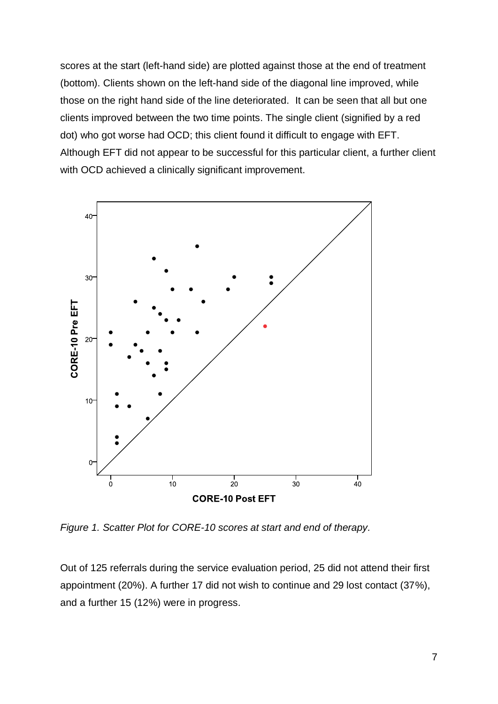scores at the start (left-hand side) are plotted against those at the end of treatment (bottom). Clients shown on the left-hand side of the diagonal line improved, while those on the right hand side of the line deteriorated. It can be seen that all but one clients improved between the two time points. The single client (signified by a red dot) who got worse had OCD; this client found it difficult to engage with EFT. Although EFT did not appear to be successful for this particular client, a further client with OCD achieved a clinically significant improvement.



*Figure 1. Scatter Plot for CORE-10 scores at start and end of therapy.*

Out of 125 referrals during the service evaluation period, 25 did not attend their first appointment (20%). A further 17 did not wish to continue and 29 lost contact (37%), and a further 15 (12%) were in progress.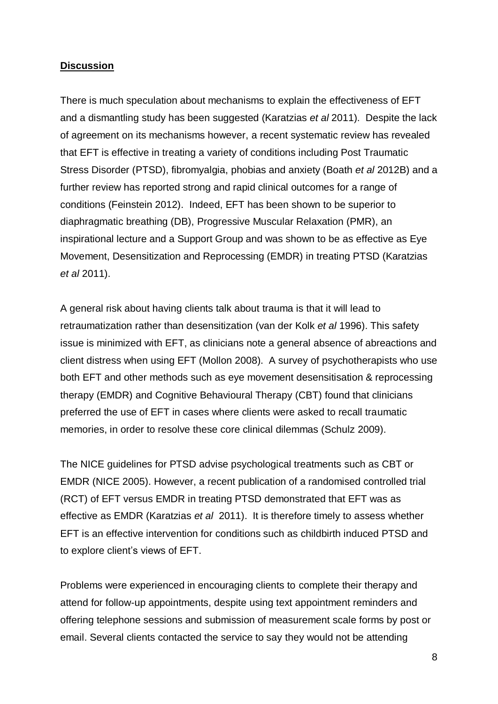#### **Discussion**

There is much speculation about mechanisms to explain the effectiveness of EFT and a dismantling study has been suggested (Karatzias *et al* 2011). Despite the lack of agreement on its mechanisms however, a recent systematic review has revealed that EFT is effective in treating a variety of conditions including Post Traumatic Stress Disorder (PTSD), fibromyalgia, phobias and anxiety (Boath *et al* 2012B) and a further review has reported strong and rapid clinical outcomes for a range of conditions (Feinstein 2012). Indeed, EFT has been shown to be superior to diaphragmatic breathing (DB), Progressive Muscular Relaxation (PMR), an inspirational lecture and a Support Group and was shown to be as effective as Eye Movement, Desensitization and Reprocessing (EMDR) in treating PTSD (Karatzias *et al* 2011).

A general risk about having clients talk about trauma is that it will lead to retraumatization rather than desensitization (van der Kolk *et al* 1996). This safety issue is minimized with EFT, as clinicians note a general absence of abreactions and client distress when using EFT (Mollon 2008). A survey of psychotherapists who use both EFT and other methods such as eye movement desensitisation & reprocessing therapy (EMDR) and Cognitive Behavioural Therapy (CBT) found that clinicians preferred the use of EFT in cases where clients were asked to recall traumatic memories, in order to resolve these core clinical dilemmas (Schulz 2009).

The NICE guidelines for PTSD advise psychological treatments such as CBT or EMDR (NICE 2005). However, a recent publication of a randomised controlled trial (RCT) of EFT versus EMDR in treating PTSD demonstrated that EFT was as effective as EMDR (Karatzias *et al* 2011). It is therefore timely to assess whether EFT is an effective intervention for conditions such as childbirth induced PTSD and to explore client's views of EFT.

Problems were experienced in encouraging clients to complete their therapy and attend for follow-up appointments, despite using text appointment reminders and offering telephone sessions and submission of measurement scale forms by post or email. Several clients contacted the service to say they would not be attending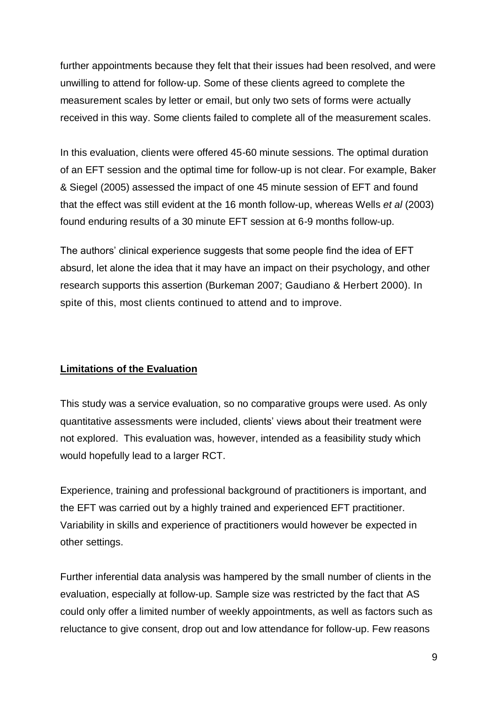further appointments because they felt that their issues had been resolved, and were unwilling to attend for follow-up. Some of these clients agreed to complete the measurement scales by letter or email, but only two sets of forms were actually received in this way. Some clients failed to complete all of the measurement scales.

In this evaluation, clients were offered 45-60 minute sessions. The optimal duration of an EFT session and the optimal time for follow-up is not clear. For example, Baker & Siegel (2005) assessed the impact of one 45 minute session of EFT and found that the effect was still evident at the 16 month follow-up, whereas Wells *et al* (2003) found enduring results of a 30 minute EFT session at 6-9 months follow-up.

The authors' clinical experience suggests that some people find the idea of EFT absurd, let alone the idea that it may have an impact on their psychology, and other research supports this assertion (Burkeman 2007; Gaudiano & Herbert 2000). In spite of this, most clients continued to attend and to improve.

## **Limitations of the Evaluation**

This study was a service evaluation, so no comparative groups were used. As only quantitative assessments were included, clients' views about their treatment were not explored. This evaluation was, however, intended as a feasibility study which would hopefully lead to a larger RCT.

Experience, training and professional background of practitioners is important, and the EFT was carried out by a highly trained and experienced EFT practitioner. Variability in skills and experience of practitioners would however be expected in other settings.

Further inferential data analysis was hampered by the small number of clients in the evaluation, especially at follow-up. Sample size was restricted by the fact that AS could only offer a limited number of weekly appointments, as well as factors such as reluctance to give consent, drop out and low attendance for follow-up. Few reasons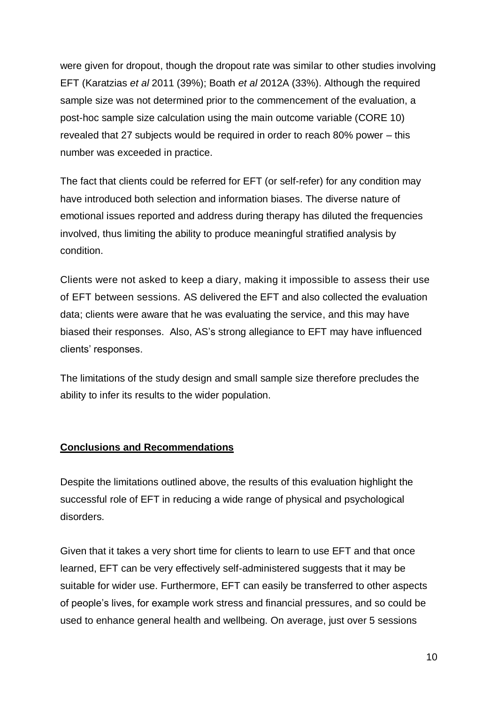were given for dropout, though the dropout rate was similar to other studies involving EFT (Karatzias *et al* 2011 (39%); Boath *et al* 2012A (33%). Although the required sample size was not determined prior to the commencement of the evaluation, a post-hoc sample size calculation using the main outcome variable (CORE 10) revealed that 27 subjects would be required in order to reach 80% power – this number was exceeded in practice.

The fact that clients could be referred for EFT (or self-refer) for any condition may have introduced both selection and information biases. The diverse nature of emotional issues reported and address during therapy has diluted the frequencies involved, thus limiting the ability to produce meaningful stratified analysis by condition.

Clients were not asked to keep a diary, making it impossible to assess their use of EFT between sessions. AS delivered the EFT and also collected the evaluation data; clients were aware that he was evaluating the service, and this may have biased their responses. Also, AS's strong allegiance to EFT may have influenced clients' responses.

The limitations of the study design and small sample size therefore precludes the ability to infer its results to the wider population.

## **Conclusions and Recommendations**

Despite the limitations outlined above, the results of this evaluation highlight the successful role of EFT in reducing a wide range of physical and psychological disorders.

Given that it takes a very short time for clients to learn to use EFT and that once learned, EFT can be very effectively self-administered suggests that it may be suitable for wider use. Furthermore, EFT can easily be transferred to other aspects of people's lives, for example work stress and financial pressures, and so could be used to enhance general health and wellbeing. On average, just over 5 sessions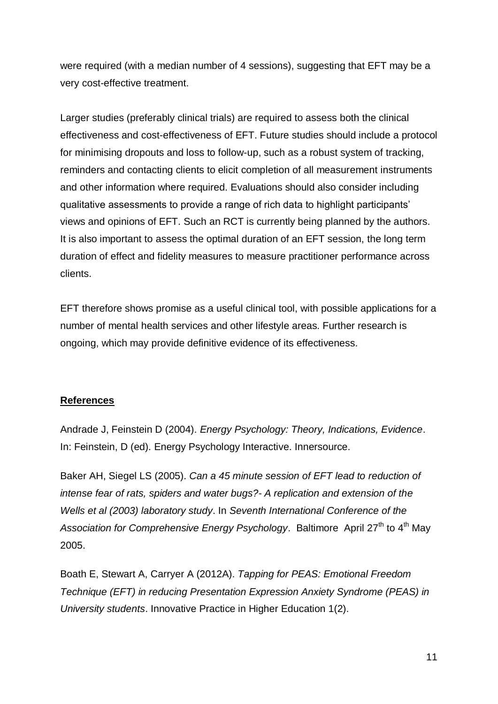were required (with a median number of 4 sessions), suggesting that EFT may be a very cost-effective treatment.

Larger studies (preferably clinical trials) are required to assess both the clinical effectiveness and cost-effectiveness of EFT. Future studies should include a protocol for minimising dropouts and loss to follow-up, such as a robust system of tracking, reminders and contacting clients to elicit completion of all measurement instruments and other information where required. Evaluations should also consider including qualitative assessments to provide a range of rich data to highlight participants' views and opinions of EFT. Such an RCT is currently being planned by the authors. It is also important to assess the optimal duration of an EFT session, the long term duration of effect and fidelity measures to measure practitioner performance across clients.

EFT therefore shows promise as a useful clinical tool, with possible applications for a number of mental health services and other lifestyle areas. Further research is ongoing, which may provide definitive evidence of its effectiveness.

## **References**

Andrade J, Feinstein D (2004). *Energy Psychology: Theory, Indications, Evidence*. In: Feinstein, D (ed). Energy Psychology Interactive. Innersource.

Baker AH, Siegel LS (2005). *Can a 45 minute session of EFT lead to reduction of intense fear of rats, spiders and water bugs?- A replication and extension of the Wells et al (2003) laboratory study*. In *Seventh International Conference of the*  Association for Comprehensive Energy Psychology. Baltimore April 27<sup>th</sup> to 4<sup>th</sup> May 2005.

Boath E, Stewart A, Carryer A (2012A). *Tapping for PEAS: Emotional Freedom Technique (EFT) in reducing Presentation Expression Anxiety Syndrome (PEAS) in University students*. Innovative Practice in Higher Education 1(2).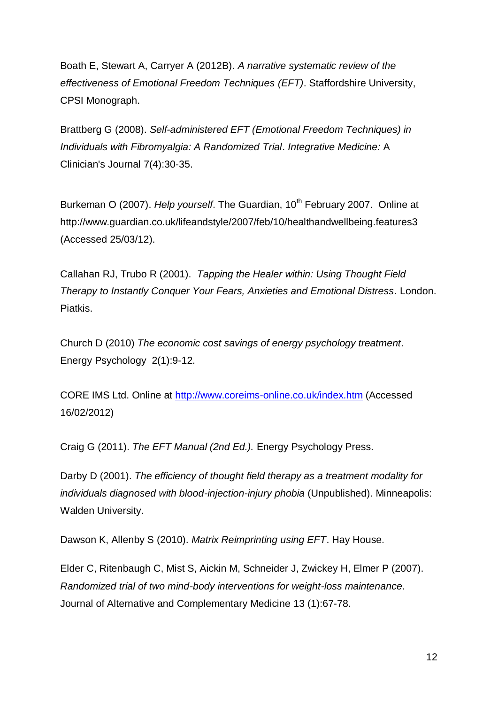Boath E, Stewart A, Carryer A (2012B). *A narrative systematic review of the effectiveness of Emotional Freedom Techniques (EFT)*. Staffordshire University, CPSI Monograph.

Brattberg G (2008). *Self-administered EFT (Emotional Freedom Techniques) in Individuals with Fibromyalgia: A Randomized Trial*. *Integrative Medicine:* A Clinician's Journal 7(4):30-35.

Burkeman O (2007). *Help yourself*. The Guardian, 10<sup>th</sup> February 2007. Online at http://www.guardian.co.uk/lifeandstyle/2007/feb/10/healthandwellbeing.features3 (Accessed 25/03/12).

Callahan RJ, Trubo R (2001). *Tapping the Healer within: Using Thought Field Therapy to Instantly Conquer Your Fears, Anxieties and Emotional Distress*. London. Piatkis.

Church D (2010) *The economic cost savings of energy psychology treatment*. Energy Psychology 2(1):9-12.

CORE IMS Ltd. Online at<http://www.coreims-online.co.uk/index.htm> (Accessed 16/02/2012)

Craig G (2011). *The EFT Manual (2nd Ed.).* Energy Psychology Press.

Darby D (2001). *The efficiency of thought field therapy as a treatment modality for individuals diagnosed with blood-injection-injury phobia* (Unpublished). Minneapolis: Walden University.

Dawson K, Allenby S (2010). *Matrix Reimprinting using EFT*. Hay House.

Elder C, Ritenbaugh C, Mist S, Aickin M, Schneider J, Zwickey H, Elmer P (2007). *Randomized trial of two mind-body interventions for weight-loss maintenance*. Journal of Alternative and Complementary Medicine 13 (1):67-78.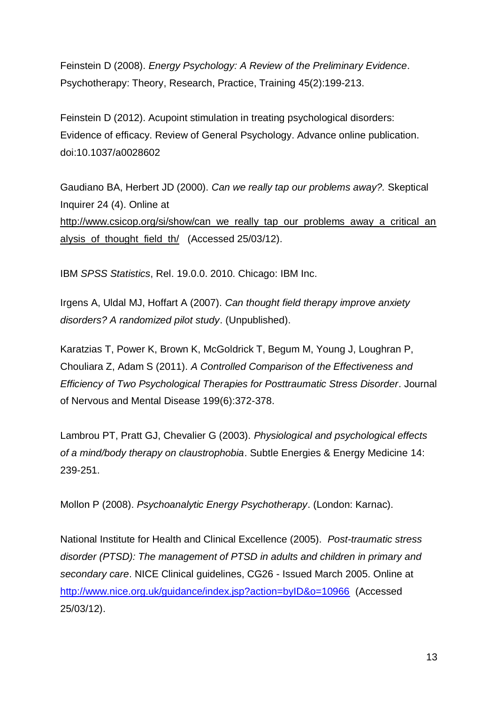Feinstein D (2008). *Energy Psychology: A Review of the Preliminary Evidence*. Psychotherapy: Theory, Research, Practice, Training 45(2):199-213.

Feinstein D (2012). Acupoint stimulation in treating psychological disorders: Evidence of efficacy. Review of General Psychology. Advance online publication. doi:10.1037/a0028602

Gaudiano BA, Herbert JD (2000). *Can we really tap our problems away?.* Skeptical Inquirer 24 (4). Online at [http://www.csicop.org/si/show/can\\_we\\_really\\_tap\\_our\\_problems\\_away\\_a\\_critical\\_an](http://www.csicop.org/si/show/can_we_really_tap_our_problems_away_a_critical_analysis_of_thought_field_th/) [alysis\\_of\\_thought\\_field\\_th/](http://www.csicop.org/si/show/can_we_really_tap_our_problems_away_a_critical_analysis_of_thought_field_th/) (Accessed 25/03/12).

IBM *SPSS Statistics*, Rel. 19.0.0. 2010. Chicago: IBM Inc.

Irgens A, Uldal MJ, Hoffart A (2007). *Can thought field therapy improve anxiety disorders? A randomized pilot study*. (Unpublished).

Karatzias T, Power K, Brown K, McGoldrick T, Begum M, Young J, Loughran P, Chouliara Z, Adam S (2011). *A Controlled Comparison of the Effectiveness and Efficiency of Two Psychological Therapies for Posttraumatic Stress Disorder*. Journal of Nervous and Mental Disease 199(6):372-378.

Lambrou PT, Pratt GJ, Chevalier G (2003). *Physiological and psychological effects of a mind/body therapy on claustrophobia*. Subtle Energies & Energy Medicine 14: 239-251.

Mollon P (2008). *Psychoanalytic Energy Psychotherapy*. (London: Karnac).

National Institute for Health and Clinical Excellence (2005). *Post-traumatic stress disorder (PTSD): The management of PTSD in adults and children in primary and secondary care*. NICE Clinical guidelines, CG26 - Issued March 2005. Online at <http://www.nice.org.uk/guidance/index.jsp?action=byID&o=10966>(Accessed 25/03/12).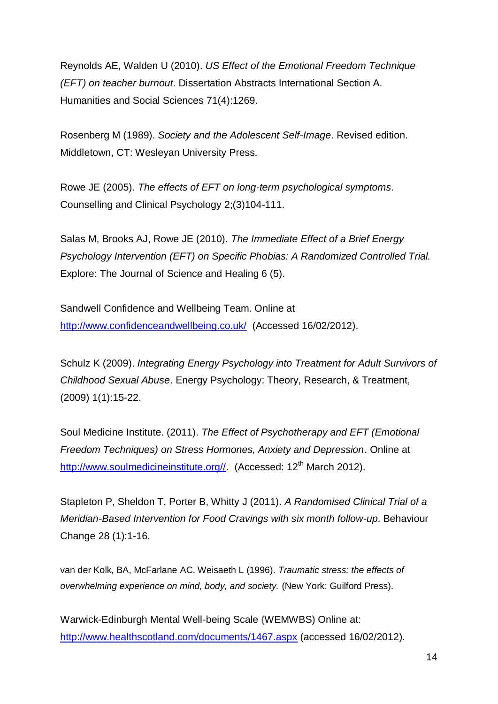Reynolds AE, Walden U (2010). *US Effect of the Emotional Freedom Technique (EFT) on teacher burnout*. Dissertation Abstracts International Section A. Humanities and Social Sciences 71(4):1269.

Rosenberg M (1989). *Society and the Adolescent Self-Image*. Revised edition. Middletown, CT: Wesleyan University Press.

Rowe JE (2005). *The effects of EFT on long-term psychological symptoms*. Counselling and Clinical Psychology 2;(3)104-111.

Salas M, Brooks AJ, Rowe JE (2010). *The Immediate Effect of a Brief Energy Psychology Intervention (EFT) on Specific Phobias: A Randomized Controlled Trial.*  Explore: The Journal of Science and Healing 6 (5).

Sandwell Confidence and Wellbeing Team. Online at <http://www.confidenceandwellbeing.co.uk/> (Accessed 16/02/2012).

Schulz K (2009). *Integrating Energy Psychology into Treatment for Adult Survivors of Childhood Sexual Abuse*. Energy Psychology: Theory, Research, & Treatment, (2009) 1(1):15-22.

Soul Medicine Institute. (2011). *The Effect of Psychotherapy and EFT (Emotional Freedom Techniques) on Stress Hormones, Anxiety and Depression*. Online at http://www.soulmedicineinstitute.org// (Accessed: 12<sup>th</sup> March 2012).

Stapleton P, Sheldon T, Porter B, Whitty J (2011). *A Randomised Clinical Trial of a Meridian-Based Intervention for Food Cravings with six month follow-up*. Behaviour Change 28 (1):1-16.

van der Kolk, BA, McFarlane AC, Weisaeth L (1996). *Traumatic stress: the effects of overwhelming experience on mind, body, and society.* (New York: Guilford Press).

Warwick-Edinburgh Mental Well-being Scale **(**WEMWBS) Online at: <http://www.healthscotland.com/documents/1467.aspx> (accessed 16/02/2012).